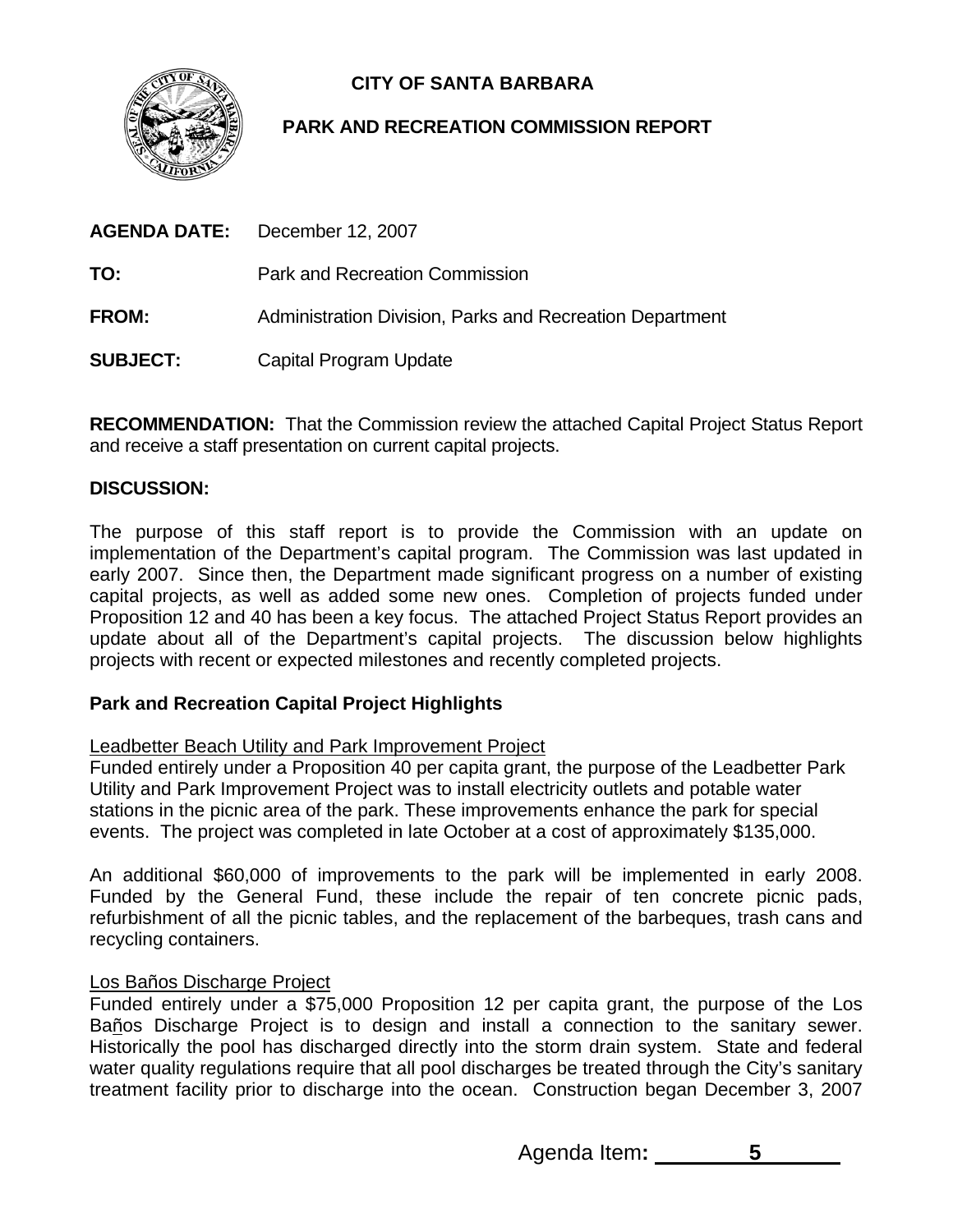

# **CITY OF SANTA BARBARA**

# **PARK AND RECREATION COMMISSION REPORT**

|                 | <b>AGENDA DATE:</b> December 12, 2007                    |
|-----------------|----------------------------------------------------------|
| TO:             | Park and Recreation Commission                           |
| <b>FROM:</b>    | Administration Division, Parks and Recreation Department |
| <b>SUBJECT:</b> | Capital Program Update                                   |

**RECOMMENDATION:** That the Commission review the attached Capital Project Status Report and receive a staff presentation on current capital projects.

## **DISCUSSION:**

The purpose of this staff report is to provide the Commission with an update on implementation of the Department's capital program. The Commission was last updated in early 2007. Since then, the Department made significant progress on a number of existing capital projects, as well as added some new ones. Completion of projects funded under Proposition 12 and 40 has been a key focus. The attached Project Status Report provides an update about all of the Department's capital projects. The discussion below highlights projects with recent or expected milestones and recently completed projects.

# **Park and Recreation Capital Project Highlights**

### Leadbetter Beach Utility and Park Improvement Project

Funded entirely under a Proposition 40 per capita grant, the purpose of the Leadbetter Park Utility and Park Improvement Project was to install electricity outlets and potable water stations in the picnic area of the park. These improvements enhance the park for special events. The project was completed in late October at a cost of approximately \$135,000.

An additional \$60,000 of improvements to the park will be implemented in early 2008. Funded by the General Fund, these include the repair of ten concrete picnic pads, refurbishment of all the picnic tables, and the replacement of the barbeques, trash cans and recycling containers.

### Los Baños Discharge Project

Funded entirely under a \$75,000 Proposition 12 per capita grant, the purpose of the Los Baños Discharge Project is to design and install a connection to the sanitary sewer. Historically the pool has discharged directly into the storm drain system. State and federal water quality regulations require that all pool discharges be treated through the City's sanitary treatment facility prior to discharge into the ocean. Construction began December 3, 2007

Agenda Item**: 5**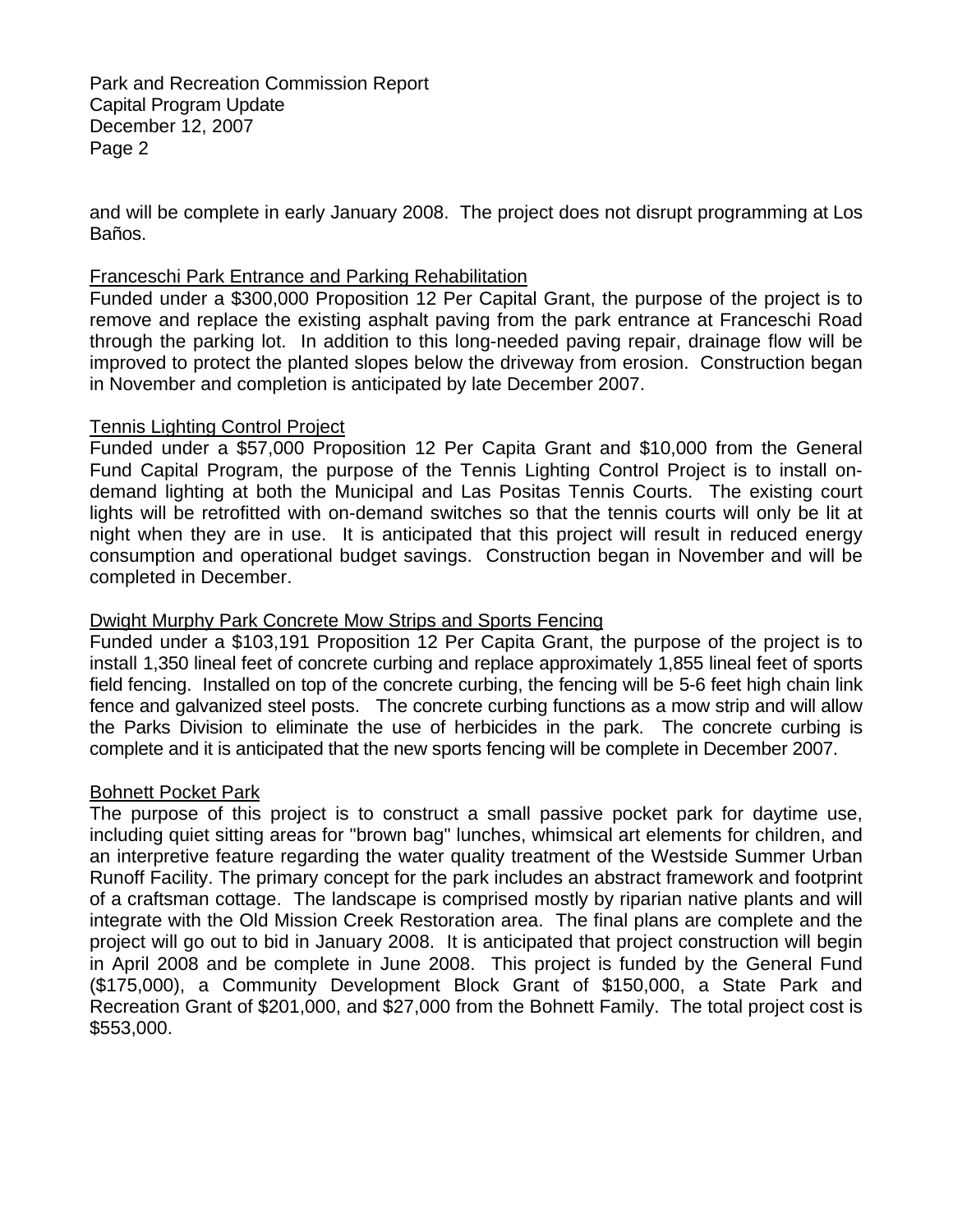and will be complete in early January 2008. The project does not disrupt programming at Los Baños.

#### Franceschi Park Entrance and Parking Rehabilitation

Funded under a \$300,000 Proposition 12 Per Capital Grant, the purpose of the project is to remove and replace the existing asphalt paving from the park entrance at Franceschi Road through the parking lot. In addition to this long-needed paving repair, drainage flow will be improved to protect the planted slopes below the driveway from erosion. Construction began in November and completion is anticipated by late December 2007.

#### Tennis Lighting Control Project

Funded under a \$57,000 Proposition 12 Per Capita Grant and \$10,000 from the General Fund Capital Program, the purpose of the Tennis Lighting Control Project is to install ondemand lighting at both the Municipal and Las Positas Tennis Courts. The existing court lights will be retrofitted with on-demand switches so that the tennis courts will only be lit at night when they are in use. It is anticipated that this project will result in reduced energy consumption and operational budget savings. Construction began in November and will be completed in December.

#### Dwight Murphy Park Concrete Mow Strips and Sports Fencing

Funded under a \$103,191 Proposition 12 Per Capita Grant, the purpose of the project is to install 1,350 lineal feet of concrete curbing and replace approximately 1,855 lineal feet of sports field fencing. Installed on top of the concrete curbing, the fencing will be 5-6 feet high chain link fence and galvanized steel posts. The concrete curbing functions as a mow strip and will allow the Parks Division to eliminate the use of herbicides in the park. The concrete curbing is complete and it is anticipated that the new sports fencing will be complete in December 2007.

#### Bohnett Pocket Park

The purpose of this project is to construct a small passive pocket park for daytime use, including quiet sitting areas for "brown bag" lunches, whimsical art elements for children, and an interpretive feature regarding the water quality treatment of the Westside Summer Urban Runoff Facility. The primary concept for the park includes an abstract framework and footprint of a craftsman cottage. The landscape is comprised mostly by riparian native plants and will integrate with the Old Mission Creek Restoration area. The final plans are complete and the project will go out to bid in January 2008. It is anticipated that project construction will begin in April 2008 and be complete in June 2008. This project is funded by the General Fund (\$175,000), a Community Development Block Grant of \$150,000, a State Park and Recreation Grant of \$201,000, and \$27,000 from the Bohnett Family. The total project cost is \$553,000.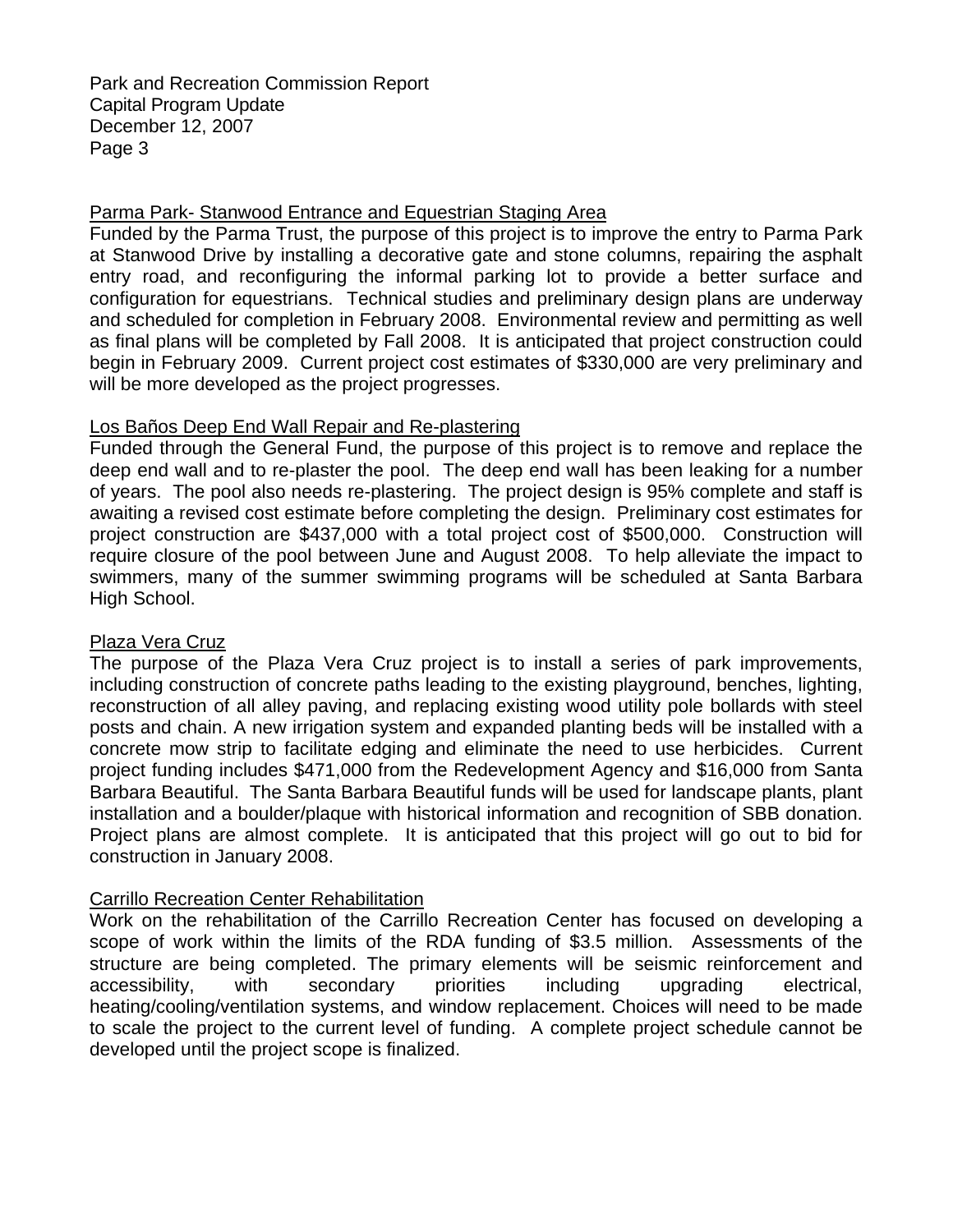#### Parma Park- Stanwood Entrance and Equestrian Staging Area

Funded by the Parma Trust, the purpose of this project is to improve the entry to Parma Park at Stanwood Drive by installing a decorative gate and stone columns, repairing the asphalt entry road, and reconfiguring the informal parking lot to provide a better surface and configuration for equestrians. Technical studies and preliminary design plans are underway and scheduled for completion in February 2008. Environmental review and permitting as well as final plans will be completed by Fall 2008. It is anticipated that project construction could begin in February 2009. Current project cost estimates of \$330,000 are very preliminary and will be more developed as the project progresses.

### Los Baños Deep End Wall Repair and Re-plastering

Funded through the General Fund, the purpose of this project is to remove and replace the deep end wall and to re-plaster the pool. The deep end wall has been leaking for a number of years. The pool also needs re-plastering. The project design is 95% complete and staff is awaiting a revised cost estimate before completing the design. Preliminary cost estimates for project construction are \$437,000 with a total project cost of \$500,000. Construction will require closure of the pool between June and August 2008. To help alleviate the impact to swimmers, many of the summer swimming programs will be scheduled at Santa Barbara High School.

### Plaza Vera Cruz

The purpose of the Plaza Vera Cruz project is to install a series of park improvements, including construction of concrete paths leading to the existing playground, benches, lighting, reconstruction of all alley paving, and replacing existing wood utility pole bollards with steel posts and chain. A new irrigation system and expanded planting beds will be installed with a concrete mow strip to facilitate edging and eliminate the need to use herbicides. Current project funding includes \$471,000 from the Redevelopment Agency and \$16,000 from Santa Barbara Beautiful. The Santa Barbara Beautiful funds will be used for landscape plants, plant installation and a boulder/plaque with historical information and recognition of SBB donation. Project plans are almost complete. It is anticipated that this project will go out to bid for construction in January 2008.

### Carrillo Recreation Center Rehabilitation

Work on the rehabilitation of the Carrillo Recreation Center has focused on developing a scope of work within the limits of the RDA funding of \$3.5 million. Assessments of the structure are being completed. The primary elements will be seismic reinforcement and accessibility, with secondary priorities including upgrading electrical, heating/cooling/ventilation systems, and window replacement. Choices will need to be made to scale the project to the current level of funding. A complete project schedule cannot be developed until the project scope is finalized.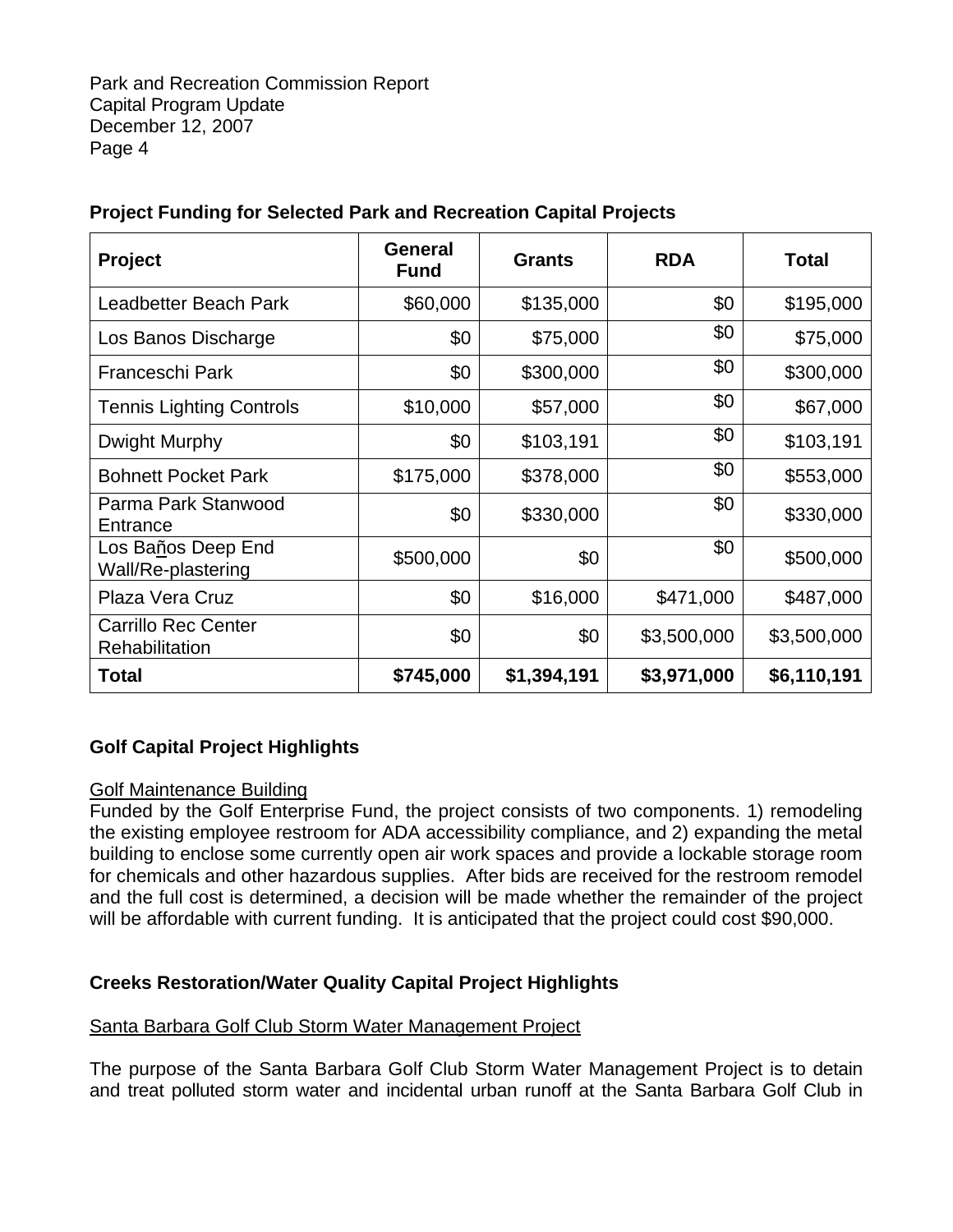| <b>Project</b>                               | General<br><b>Fund</b> | <b>Grants</b> | <b>RDA</b>  | <b>Total</b> |
|----------------------------------------------|------------------------|---------------|-------------|--------------|
| Leadbetter Beach Park                        | \$60,000               | \$135,000     | \$0         | \$195,000    |
| Los Banos Discharge                          | \$0                    | \$75,000      | \$0         | \$75,000     |
| Franceschi Park                              | \$0                    | \$300,000     | \$0         | \$300,000    |
| <b>Tennis Lighting Controls</b>              | \$10,000               | \$57,000      | \$0         | \$67,000     |
| Dwight Murphy                                | \$0                    | \$103,191     | \$0         | \$103,191    |
| <b>Bohnett Pocket Park</b>                   | \$175,000              | \$378,000     | \$0         | \$553,000    |
| Parma Park Stanwood<br>Entrance              | \$0                    | \$330,000     | \$0         | \$330,000    |
| Los Baños Deep End<br>Wall/Re-plastering     | \$500,000              | \$0           | \$0         | \$500,000    |
| Plaza Vera Cruz                              | \$0                    | \$16,000      | \$471,000   | \$487,000    |
| <b>Carrillo Rec Center</b><br>Rehabilitation | \$0                    | \$0           | \$3,500,000 | \$3,500,000  |
| Total                                        | \$745,000              | \$1,394,191   | \$3,971,000 | \$6,110,191  |

# **Project Funding for Selected Park and Recreation Capital Projects**

# **Golf Capital Project Highlights**

### Golf Maintenance Building

Funded by the Golf Enterprise Fund, the project consists of two components. 1) remodeling the existing employee restroom for ADA accessibility compliance, and 2) expanding the metal building to enclose some currently open air work spaces and provide a lockable storage room for chemicals and other hazardous supplies. After bids are received for the restroom remodel and the full cost is determined, a decision will be made whether the remainder of the project will be affordable with current funding. It is anticipated that the project could cost \$90,000.

# **Creeks Restoration/Water Quality Capital Project Highlights**

### Santa Barbara Golf Club Storm Water Management Project

The purpose of the Santa Barbara Golf Club Storm Water Management Project is to detain and treat polluted storm water and incidental urban runoff at the Santa Barbara Golf Club in